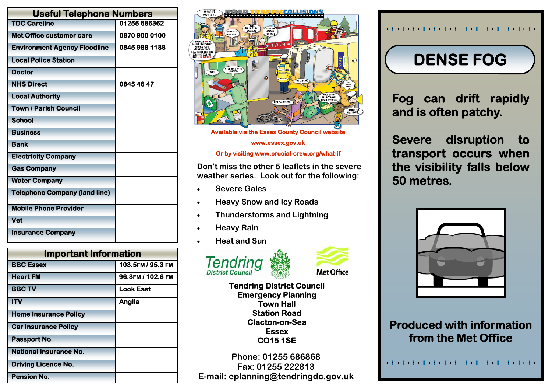| <b>Useful Telephone Numbers</b>      |               |
|--------------------------------------|---------------|
| <b>TDC Careline</b>                  | 01255 686362  |
| <b>Met Office customer care</b>      | 0870 900 0100 |
| <b>Environment Agency Floodline</b>  | 0845 988 1188 |
| <b>Local Police Station</b>          |               |
| <b>Doctor</b>                        |               |
| <b>NHS Direct</b>                    | 0845 46 47    |
| <b>Local Authority</b>               |               |
| <b>Town / Parish Council</b>         |               |
| <b>School</b>                        |               |
| <b>Business</b>                      |               |
| <b>Bank</b>                          |               |
| <b>Electricity Company</b>           |               |
| <b>Gas Company</b>                   |               |
| <b>Water Company</b>                 |               |
| <b>Telephone Company (land line)</b> |               |
| <b>Mobile Phone Provider</b>         |               |
| <b>Vet</b>                           |               |
| <b>Insurance Company</b>             |               |

| <b>Important Information</b>  |                   |
|-------------------------------|-------------------|
| <b>BBC Essex</b>              | 103.5FM / 95.3 FM |
| <b>Heart FM</b>               | 96.3FM / 102.6 FM |
| <b>BBC TV</b>                 | <b>Look East</b>  |
| <b>ITV</b>                    | Anglia            |
| <b>Home Insurance Policy</b>  |                   |
| <b>Car Insurance Policy</b>   |                   |
| Passport No.                  |                   |
| <b>National Insurance No.</b> |                   |
| <b>Driving Licence No.</b>    |                   |
| <b>Pension No.</b>            |                   |



**Available via the Essex County Council website** 

**www.essex.gov.uk** 

#### **Or by visiting www.crucial-crew.org/what-if**

**Don't miss the other 5 leaflets in the severe weather series. Look out for the following:** 

- **Severe Gales**
- **Heavy Snow and Icy Roads**
- **Thunderstorms and Lightning**
- **Heavy Rain**
- **Heat and Sun**





**Tendring District Council Emergency Planning Town Hall Station Road Clacton-on-Sea Essex CO15 1SE** 

**Phone: 01255 686868 Fax: 01255 222813 E-mail: eplanning@tendringdc.gov.uk** 

#### 

## **DENSE FOG**

**Fog can drift rapidly and is often patchy.** 

**Severe disruption to transport occurs when the visibility falls below 50 metres.** 



### **Produced with information from the Met Office**